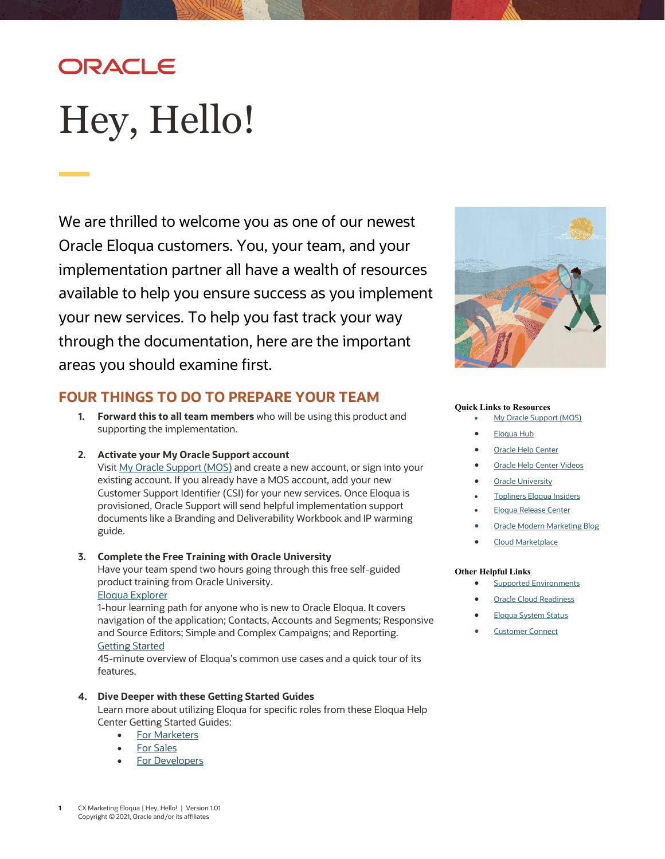# ORACLE

# <span id="page-0-0"></span>Hey, Hello!

We are thrilled to welcome you as one of our newest Oracle Eloqua customers. You, your team, and your implementation partner all have a wealth of resources available to help you ensure success as you implement your new services. To help you fast track your way through the documentation, here are the important areas you should examine first.



### **FOUR THINGS TO DO TO PREPARE YOUR TEAM**

- **1. Forward this to all team members** who will be using this product and supporting the implementation.
- **2. Activate your My Oracle Support account**

Visit [My Oracle Support \(MOS\)](https://support.oracle.com/) and create a new account, or sign into your existing account. If you already have a MOS account, add your new Customer Support Identifier (CSI) for your new services. Once Eloqua is provisioned, Oracle Support will send helpful implementation support documents like a Branding and Deliverability Workbook and IP warming guide.

#### **3. Complete the Free Training with Oracle University**

Have your team spend two hours going through this free self-guided product training from Oracle University.

#### [Eloqua Explorer](https://learn.oracle.com/ols/learning-path/eloqua-explorer/37002/79339)

1-hour learning path for anyone who is new to Oracle Eloqua. It covers navigation of the application; Contacts, Accounts and Segments; Responsive and Source Editors; Simple and Complex Campaigns; and Reporting. [Getting Started](https://learn.oracle.com/ols/learning-path/getting-started-with-eloqua/37002/59756)

45-minute overview of Eloqua's common use cases and a quick tour of its features.

#### **4. Dive Deeper with these Getting Started Guides**

Learn more about utilizing Eloqua for specific roles from these Eloqua Help Center Getting Started Guides:

- [For Marketers](https://docs.oracle.com/en/cloud/saas/marketing/eloqua-user/Help/GetStartedMarketersLP.htm)
- [For Sales](https://docs.oracle.com/en/cloud/saas/marketing/eloqua-user/Help/GetStartedSalesLP.htm)
- [For Developers](https://docs.oracle.com/en/cloud/saas/marketing/eloqua-develop/Developers/get_started_lp.htm)

#### **Quick Links to Resources**

- [My Oracle Support \(MOS\)](https://support.oracle.com/)
- [Eloqua Hub](https://go.oracle.com/eloquahub)
- **[Oracle Help Center](https://docs.oracle.com/en/cloud/saas/marketing/eloqua.html)**
- [Oracle Help Center Videos](https://www.youtube.com/channel/UCZwotmMjrpd4I8DUaS5TVGA)
- **[Oracle University](https://learn.oracle.com/ols/home/37002#filtersGroup1=&filtersGroup2=&filtersGroup3=&filtersGroup4=&filtersGroup5=&filtersGroup6=&filtersGroup7=&filtersSearch=)**
- [Topliners Eloqua Insiders](https://community.oracle.com/topliners/group/1049-eloqua-insiders)
- [Eloqua Release Center](https://community.oracle.com/topliners/discussion/4470014/oracle-eloqua-release-center)
- **[Oracle Modern Marketing Blog](https://blogs.oracle.com/marketingcloud/)**
- [Cloud Marketplace](https://cloudmarketplace.oracle.com/marketplace/product/marketing)

#### **Other Helpful Links**

- **[Supported Environments](https://docs.oracle.com/en/cloud/saas/marketing/eloqua-user/Help/General/CertifiedAndSupportedEnvironments.htm)**
- **[Oracle Cloud Readiness](https://www.oracle.com/webfolder/technetwork/tutorials/tutorial/readiness/offering.html?offering=marketing-eloqua-20)**
- [Eloqua System Status](https://community.oracle.com/topliners/categories/eloqua-system-status)
- **[Customer Connect](https://community.oracle.com/customerconnect/)**